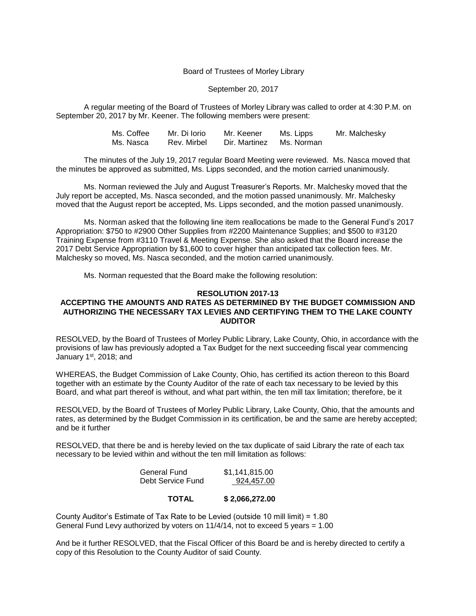### Board of Trustees of Morley Library

#### September 20, 2017

A regular meeting of the Board of Trustees of Morley Library was called to order at 4:30 P.M. on September 20, 2017 by Mr. Keener. The following members were present:

| Ms. Coffee | Mr. Di Iorio | Mr. Keener               | Ms. Lipps | Mr. Malchesky |
|------------|--------------|--------------------------|-----------|---------------|
| Ms. Nasca  | Rev. Mirbel  | Dir. Martinez Ms. Norman |           |               |

The minutes of the July 19, 2017 regular Board Meeting were reviewed. Ms. Nasca moved that the minutes be approved as submitted, Ms. Lipps seconded, and the motion carried unanimously.

Ms. Norman reviewed the July and August Treasurer's Reports. Mr. Malchesky moved that the July report be accepted, Ms. Nasca seconded, and the motion passed unanimously. Mr. Malchesky moved that the August report be accepted, Ms. Lipps seconded, and the motion passed unanimously.

Ms. Norman asked that the following line item reallocations be made to the General Fund's 2017 Appropriation: \$750 to #2900 Other Supplies from #2200 Maintenance Supplies; and \$500 to #3120 Training Expense from #3110 Travel & Meeting Expense. She also asked that the Board increase the 2017 Debt Service Appropriation by \$1,600 to cover higher than anticipated tax collection fees. Mr. Malchesky so moved, Ms. Nasca seconded, and the motion carried unanimously.

Ms. Norman requested that the Board make the following resolution:

#### **RESOLUTION 2017-13**

# **ACCEPTING THE AMOUNTS AND RATES AS DETERMINED BY THE BUDGET COMMISSION AND AUTHORIZING THE NECESSARY TAX LEVIES AND CERTIFYING THEM TO THE LAKE COUNTY AUDITOR**

RESOLVED, by the Board of Trustees of Morley Public Library, Lake County, Ohio, in accordance with the provisions of law has previously adopted a Tax Budget for the next succeeding fiscal year commencing January 1<sup>st</sup>, 2018; and

WHEREAS, the Budget Commission of Lake County, Ohio, has certified its action thereon to this Board together with an estimate by the County Auditor of the rate of each tax necessary to be levied by this Board, and what part thereof is without, and what part within, the ten mill tax limitation; therefore, be it

RESOLVED, by the Board of Trustees of Morley Public Library, Lake County, Ohio, that the amounts and rates, as determined by the Budget Commission in its certification, be and the same are hereby accepted; and be it further

RESOLVED, that there be and is hereby levied on the tax duplicate of said Library the rate of each tax necessary to be levied within and without the ten mill limitation as follows:

| General Fund      | \$1,141,815.00 |
|-------------------|----------------|
| Debt Service Fund | 924,457.00     |

**TOTAL \$ 2,066,272.00**

County Auditor's Estimate of Tax Rate to be Levied (outside 10 mill limit) = 1.80 General Fund Levy authorized by voters on 11/4/14, not to exceed 5 years = 1.00

And be it further RESOLVED, that the Fiscal Officer of this Board be and is hereby directed to certify a copy of this Resolution to the County Auditor of said County.